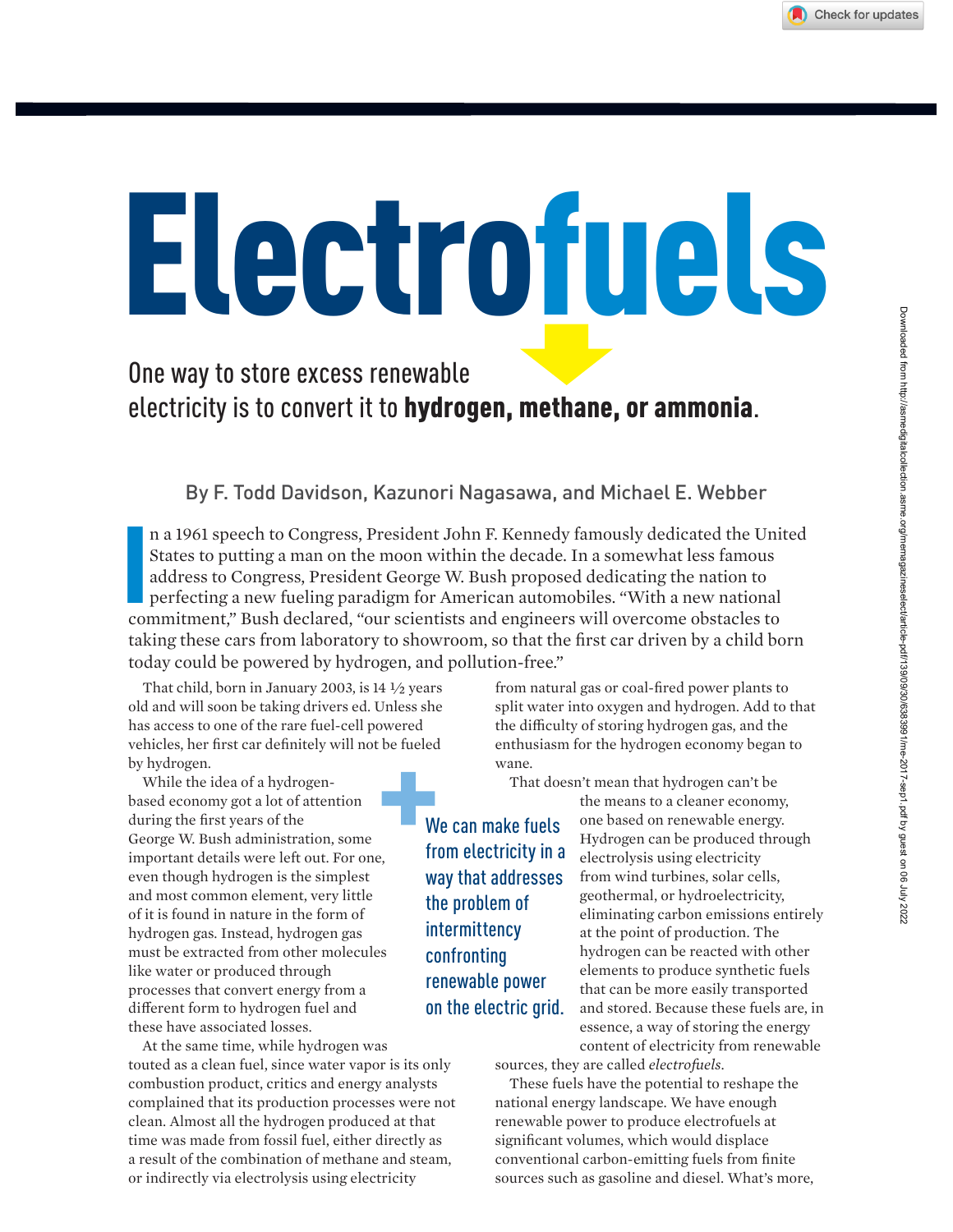# Electrofuels

#### One way to store excess renewable electricity is to convert it to hydrogen, methane, or ammonia.

By F. Todd Davidson, Kazunori Nagasawa, and Michael E. Webber

In a 1961 speech to Congress, President John F. Kennedy famously dedicated the Unistates to putting a man on the moon within the decade. In a somewhat less famous address to Congress, President George W. Bush proposed dedi n a 1961 speech to Congress, President John F. Kennedy famously dedicated the United States to putting a man on the moon within the decade. In a somewhat less famous address to Congress, President George W. Bush proposed dedicating the nation to perfecting a new fueling paradigm for American automobiles. "With a new national taking these cars from laboratory to showroom, so that the first car driven by a child born today could be powered by hydrogen, and pollution-free."

That child, born in January 2003, is 14 ½ years old and will soon be taking drivers ed. Unless she has access to one of the rare fuel-cell powered vehicles, her first car definitely will not be fueled by hydrogen.

While the idea of a hydrogenbased economy got a lot of attention during the first years of the George W. Bush administration, some important details were left out. For one, even though hydrogen is the simplest and most common element, very little of it is found in nature in the form of hydrogen gas. Instead, hydrogen gas must be extracted from other molecules like water or produced through processes that convert energy from a different form to hydrogen fuel and these have associated losses.

At the same time, while hydrogen was touted as a clean fuel, since water vapor is its only combustion product, critics and energy analysts complained that its production processes were not clean. Almost all the hydrogen produced at that time was made from fossil fuel, either directly as a result of the combination of methane and steam, or indirectly via electrolysis using electricity

from natural gas or coal-fired power plants to split water into oxygen and hydrogen. Add to that the difficulty of storing hydrogen gas, and the enthusiasm for the hydrogen economy began to wane.

That doesn't mean that hydrogen can't be

We can make fuels from electricity in a way that addresses the problem of intermittency confronting renewable power on the electric grid. the means to a cleaner economy, one based on renewable energy. Hydrogen can be produced through electrolysis using electricity from wind turbines, solar cells, geothermal, or hydroelectricity, eliminating carbon emissions entirely at the point of production. The hydrogen can be reacted with other elements to produce synthetic fuels that can be more easily transported and stored. Because these fuels are, in essence, a way of storing the energy content of electricity from renewable

sources, they are called *electrofuels*.

These fuels have the potential to reshape the national energy landscape. We have enough renewable power to produce electrofuels at significant volumes, which would displace conventional carbon-emitting fuels from finite sources such as gasoline and diesel. What's more,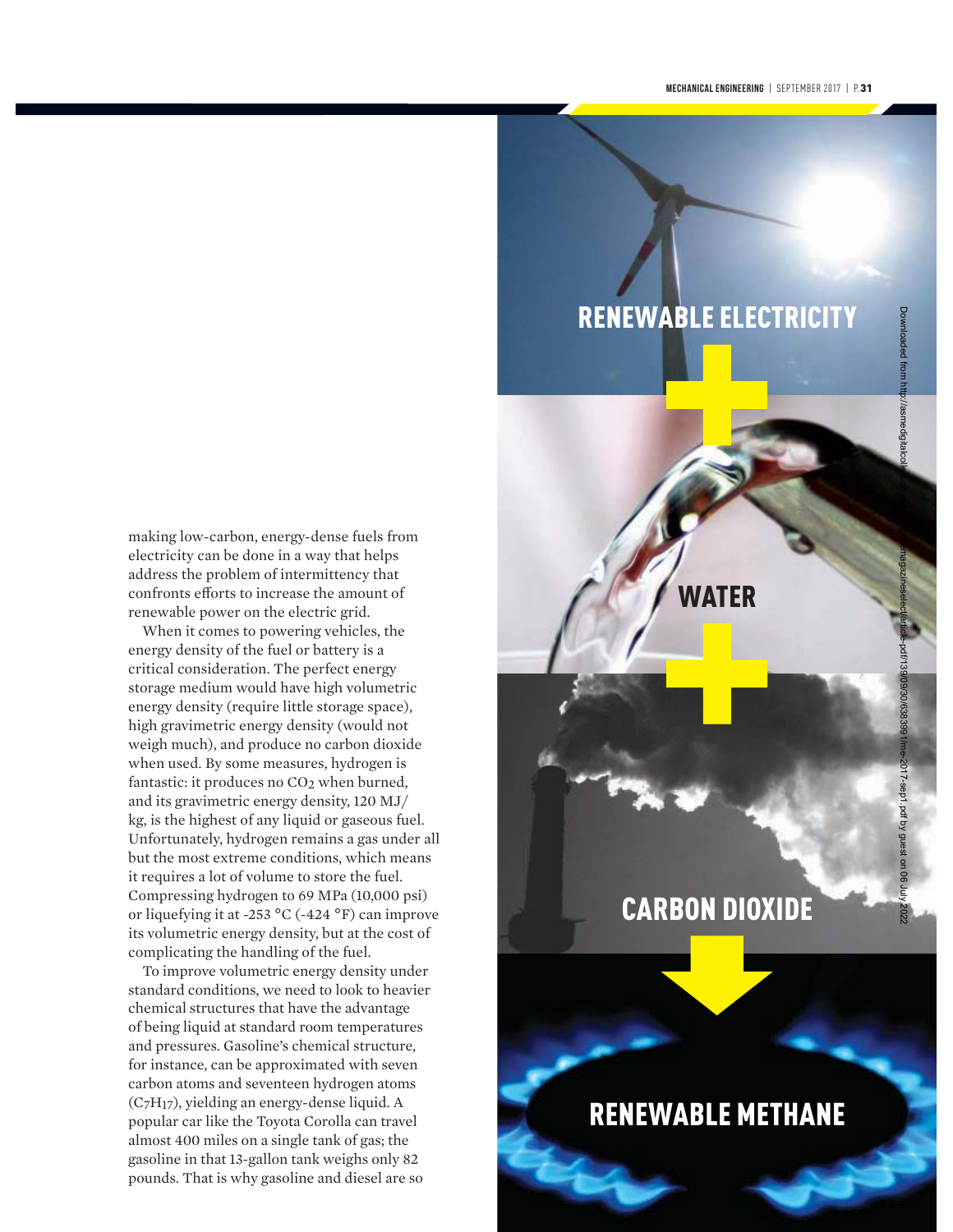### RENEWABLE ELECTRICITY

making low-carbon, energy-dense fuels from electricity can be done in a way that helps address the problem of intermittency that confronts efforts to increase the amount of renewable power on the electric grid.

When it comes to powering vehicles, the energy density of the fuel or battery is a critical consideration. The perfect energy storage medium would have high volumetric energy density (require little storage space), high gravimetric energy density (would not weigh much), and produce no carbon dioxide when used. By some measures, hydrogen is fantastic: it produces no CO<sub>2</sub> when burned, and its gravimetric energy density, 120 MJ/ kg, is the highest of any liquid or gaseous fuel. Unfortunately, hydrogen remains a gas under all but the most extreme conditions, which means it requires a lot of volume to store the fuel. Compressing hydrogen to 69 MPa (10,000 psi) or liquefying it at -253 °C (-424 °F) can improve its volumetric energy density, but at the cost of complicating the handling of the fuel.

To improve volumetric energy density under standard conditions, we need to look to heavier chemical structures that have the advantage of being liquid at standard room temperatures and pressures. Gasoline's chemical structure, for instance, can be approximated with seven carbon atoms and seventeen hydrogen atoms (C7H17), yielding an energy-dense liquid. A popular car like the Toyota Corolla can travel almost 400 miles on a single tank of gas; the gasoline in that 13-gallon tank weighs only 82 pounds. That is why gasoline and diesel are so

# WATER

Downloaded from http://asmedigitalcollection.asme.org/memagazineselect/article-pdf/139/09/30/6383991/me-2017-sep1.pdf by guest on 06 July 2022

017-sep1 ipd

## CARBON DIOXIDE

## RENEWABLE METHANE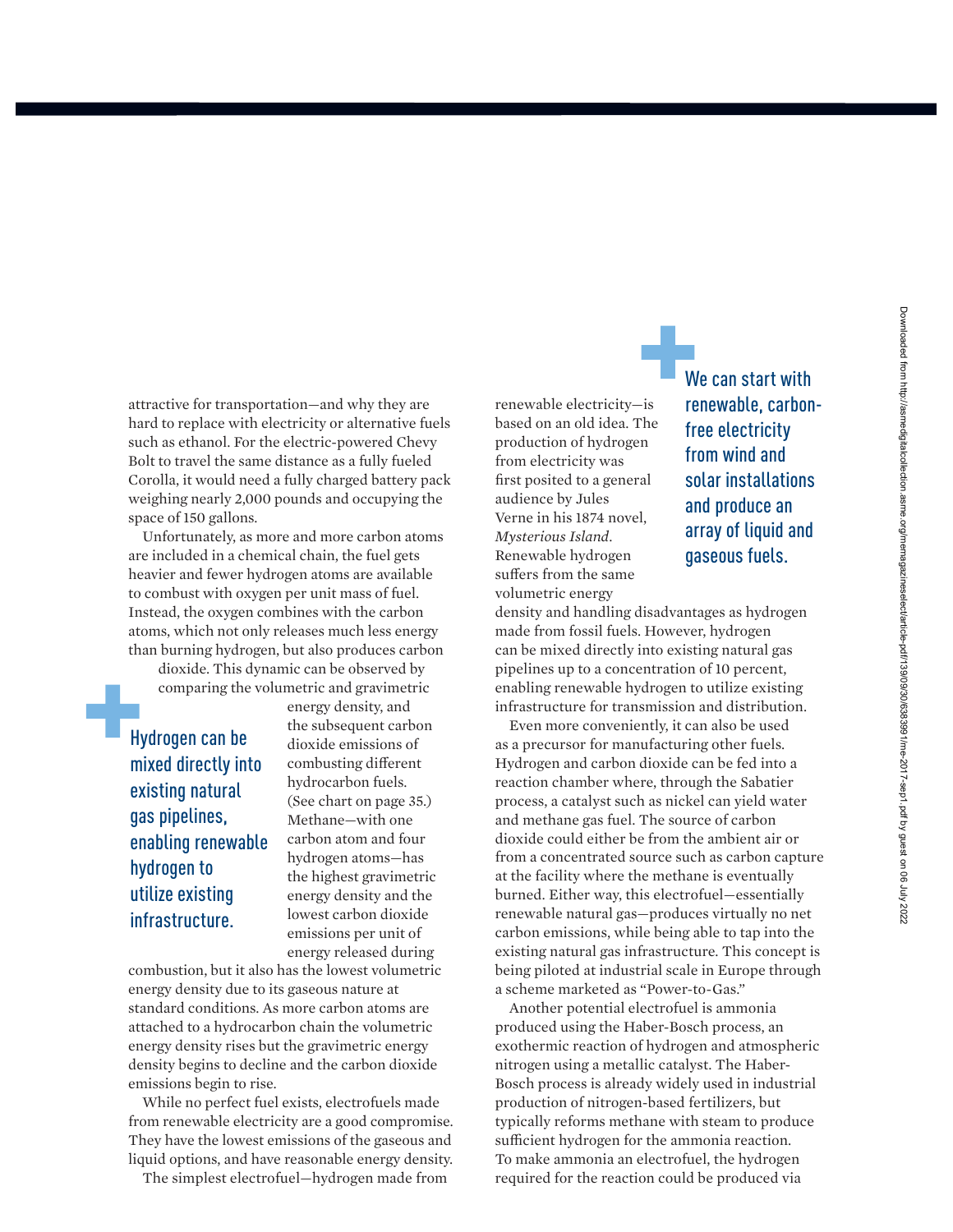attractive for transportation—and why they are hard to replace with electricity or alternative fuels such as ethanol. For the electric-powered Chevy Bolt to travel the same distance as a fully fueled Corolla, it would need a fully charged battery pack weighing nearly 2,000 pounds and occupying the space of 150 gallons.

Unfortunately, as more and more carbon atoms are included in a chemical chain, the fuel gets heavier and fewer hydrogen atoms are available to combust with oxygen per unit mass of fuel. Instead, the oxygen combines with the carbon atoms, which not only releases much less energy than burning hydrogen, but also produces carbon

dioxide. This dynamic can be observed by comparing the volumetric and gravimetric

Hydrogen can be mixed directly into existing natural gas pipelines, enabling renewable hydrogen to utilize existing infrastructure.

energy density, and the subsequent carbon dioxide emissions of combusting different hydrocarbon fuels. (See chart on page 35.) Methane—with one carbon atom and four hydrogen atoms—has the highest gravimetric energy density and the lowest carbon dioxide emissions per unit of energy released during

combustion, but it also has the lowest volumetric energy density due to its gaseous nature at standard conditions. As more carbon atoms are attached to a hydrocarbon chain the volumetric energy density rises but the gravimetric energy density begins to decline and the carbon dioxide emissions begin to rise.

While no perfect fuel exists, electrofuels made from renewable electricity are a good compromise. They have the lowest emissions of the gaseous and liquid options, and have reasonable energy density.

The simplest electrofuel—hydrogen made from

renewable electricity—is based on an old idea. The production of hydrogen from electricity was first posited to a general audience by Jules Verne in his 1874 novel, *Mysterious Island*. Renewable hydrogen suffers from the same volumetric energy

We can start with renewable, carbonfree electricity from wind and solar installations and produce an array of liquid and gaseous fuels.

density and handling disadvantages as hydrogen made from fossil fuels. However, hydrogen can be mixed directly into existing natural gas pipelines up to a concentration of 10 percent, enabling renewable hydrogen to utilize existing infrastructure for transmission and distribution.

Even more conveniently, it can also be used as a precursor for manufacturing other fuels. Hydrogen and carbon dioxide can be fed into a reaction chamber where, through the Sabatier process, a catalyst such as nickel can yield water and methane gas fuel. The source of carbon dioxide could either be from the ambient air or from a concentrated source such as carbon capture at the facility where the methane is eventually burned. Either way, this electrofuel—essentially renewable natural gas—produces virtually no net carbon emissions, while being able to tap into the existing natural gas infrastructure. This concept is being piloted at industrial scale in Europe through a scheme marketed as "Power-to-Gas."

Another potential electrofuel is ammonia produced using the Haber-Bosch process, an exothermic reaction of hydrogen and atmospheric nitrogen using a metallic catalyst. The Haber-Bosch process is already widely used in industrial production of nitrogen-based fertilizers, but typically reforms methane with steam to produce sufficient hydrogen for the ammonia reaction. To make ammonia an electrofuel, the hydrogen required for the reaction could be produced via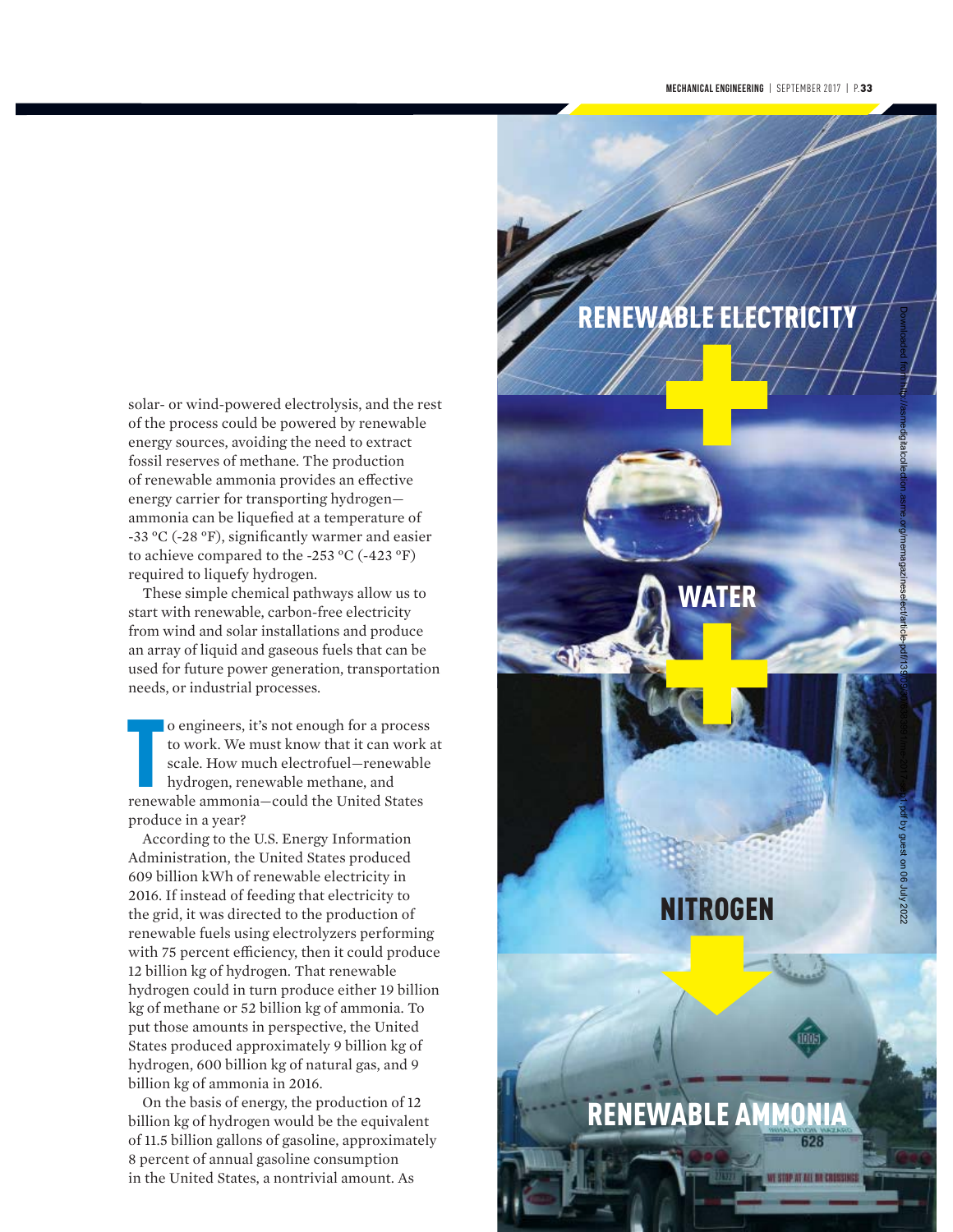solar- or wind-powered electrolysis, and the rest of the process could be powered by renewable energy sources, avoiding the need to extract fossil reserves of methane. The production of renewable ammonia provides an effective energy carrier for transporting hydrogen ammonia can be liquefied at a temperature of -33 °C (-28 °F), significantly warmer and easier to achieve compared to the -253 °C (-423 °F) required to liquefy hydrogen.

These simple chemical pathways allow us to start with renewable, carbon-free electricity from wind and solar installations and produce an array of liquid and gaseous fuels that can be used for future power generation, transportation needs, or industrial processes.

o engineers, it's not enough for a process to work. We must know that it can work scale. How much electrofuel—renewable hydrogen, renewable methane, and renewable ammonia—could the United States o engineers, it's not enough for a process to work. We must know that it can work at scale. How much electrofuel—renewable hydrogen, renewable methane, and produce in a year?

According to the U.S. Energy Information Administration, the United States produced 609 billion kWh of renewable electricity in 2016. If instead of feeding that electricity to the grid, it was directed to the production of renewable fuels using electrolyzers performing with 75 percent efficiency, then it could produce 12 billion kg of hydrogen. That renewable hydrogen could in turn produce either 19 billion kg of methane or 52 billion kg of ammonia. To put those amounts in perspective, the United States produced approximately 9 billion kg of hydrogen, 600 billion kg of natural gas, and 9 billion kg of ammonia in 2016.

On the basis of energy, the production of 12 billion kg of hydrogen would be the equivalent of 11.5 billion gallons of gasoline, approximately 8 percent of annual gasoline consumption in the United States, a nontrivial amount. As

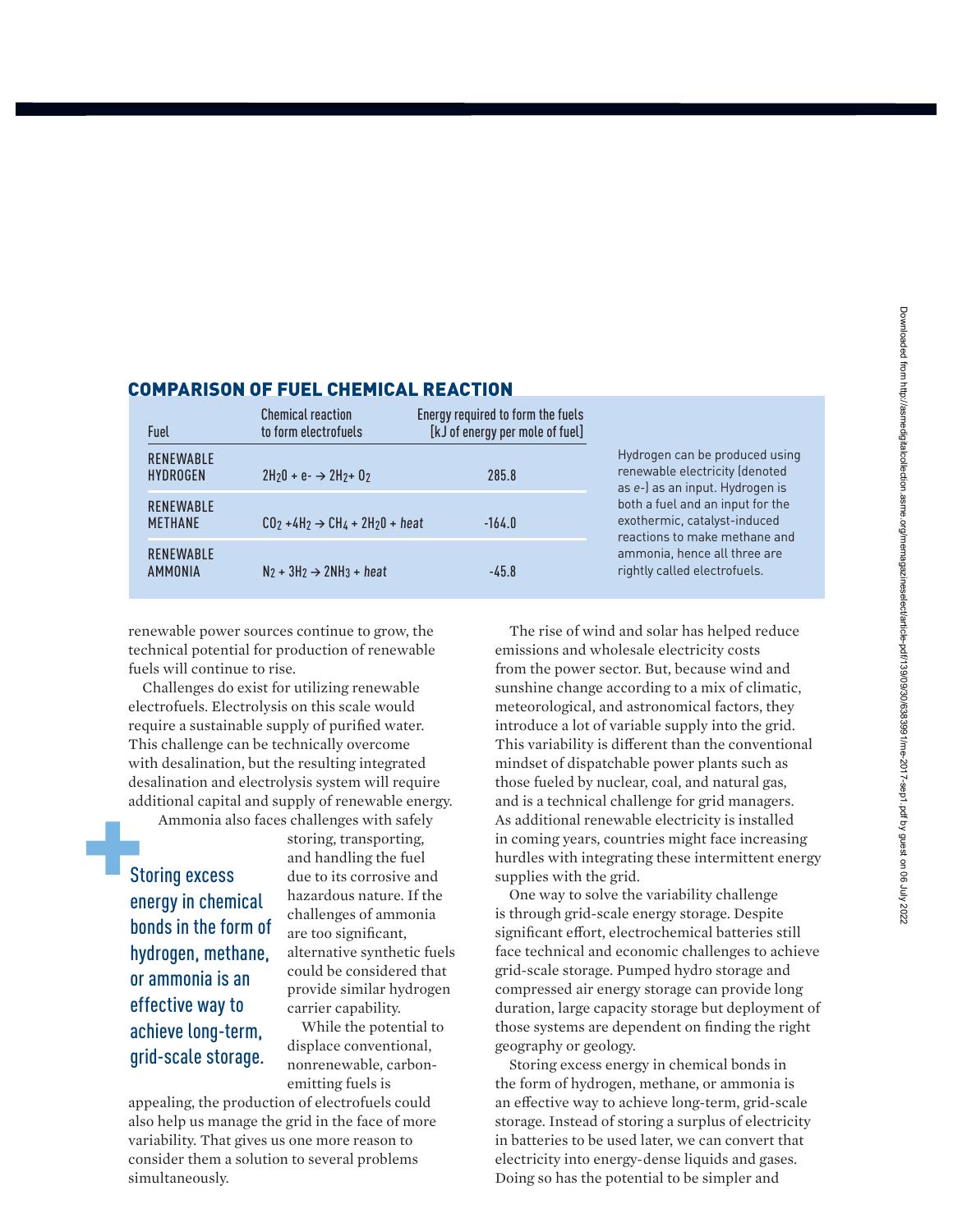| Fuel                                | <b>Chemical reaction</b><br>to form electrofuels | Energy required to form the fuels<br>[kJ of energy per mole of fuel] |                                                                                                                                                                                                                                                                          |
|-------------------------------------|--------------------------------------------------|----------------------------------------------------------------------|--------------------------------------------------------------------------------------------------------------------------------------------------------------------------------------------------------------------------------------------------------------------------|
| <b>RENEWABLE</b><br><b>HYDROGEN</b> | $2H_20 + e^- \rightarrow 2H_2 + 0_2$             | 285.8                                                                | Hydrogen can be produced using<br>renewable electricity (denoted<br>as e-) as an input. Hydrogen is<br>both a fuel and an input for the<br>exothermic, catalyst-induced<br>reactions to make methane and<br>ammonia, hence all three are<br>rightly called electrofuels. |
| <b>RENEWABLE</b><br><b>METHANE</b>  | $CO2 + 4H2 \rightarrow CH4 + 2H20 + heat$        | $-164.0$                                                             |                                                                                                                                                                                                                                                                          |
| <b>RENEWABLE</b><br><b>AMMONIA</b>  | $N_2 + 3H_2 \rightarrow 2NH_3 + heat$            | $-45.8$                                                              |                                                                                                                                                                                                                                                                          |

#### COMPARISON OF FUEL CHEMICAL REACTION

renewable power sources continue to grow, the technical potential for production of renewable fuels will continue to rise.

Challenges do exist for utilizing renewable electrofuels. Electrolysis on this scale would require a sustainable supply of purified water. This challenge can be technically overcome with desalination, but the resulting integrated desalination and electrolysis system will require additional capital and supply of renewable energy.

Ammonia also faces challenges with safely

Storing excess energy in chemical bonds in the form of hydrogen, methane, or ammonia is an effective way to achieve long-term, grid-scale storage.

storing, transporting, and handling the fuel due to its corrosive and hazardous nature. If the challenges of ammonia are too significant, alternative synthetic fuels could be considered that provide similar hydrogen carrier capability.

While the potential to displace conventional, nonrenewable, carbonemitting fuels is

appealing, the production of electrofuels could also help us manage the grid in the face of more variability. That gives us one more reason to consider them a solution to several problems simultaneously.

The rise of wind and solar has helped reduce emissions and wholesale electricity costs from the power sector. But, because wind and sunshine change according to a mix of climatic, meteorological, and astronomical factors, they introduce a lot of variable supply into the grid. This variability is different than the conventional mindset of dispatchable power plants such as those fueled by nuclear, coal, and natural gas, and is a technical challenge for grid managers. As additional renewable electricity is installed in coming years, countries might face increasing hurdles with integrating these intermittent energy supplies with the grid.

One way to solve the variability challenge is through grid-scale energy storage. Despite significant effort, electrochemical batteries still face technical and economic challenges to achieve grid-scale storage. Pumped hydro storage and compressed air energy storage can provide long duration, large capacity storage but deployment of those systems are dependent on finding the right geography or geology.

Storing excess energy in chemical bonds in the form of hydrogen, methane, or ammonia is an effective way to achieve long-term, grid-scale storage. Instead of storing a surplus of electricity in batteries to be used later, we can convert that electricity into energy-dense liquids and gases. Doing so has the potential to be simpler and